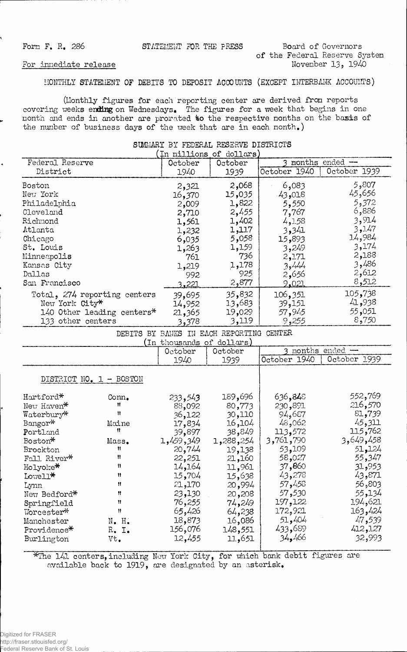Form F. R. 286 **STATEMENT FOR THE PRESS Board of Governors** 

**of the Federal Reserve System November 13, 1940**

## **MONTHLY STATEMENT OF DEBITS TO DEPOSIT ACCOUNTS (EXCEPT INTERBANK ACCOUNTS)**

**(Monthly figures for each reporting center are derived fron reports** covering weeks ending on Wednesdays. The figures for a week that begins in one **nonth and ends in another are prorated to the respective months on the basis of the number of business days of the week that are in each nonth.)**

| namannt na Lanamann tannaith nthirting<br>$(\text{\tt In~nillions}~\text{of}~\text{dollars})$ |                                          |                                         |           |              |              |  |  |
|-----------------------------------------------------------------------------------------------|------------------------------------------|-----------------------------------------|-----------|--------------|--------------|--|--|
| Federal Reserve                                                                               |                                          | 3 months ended --<br>October<br>October |           |              |              |  |  |
| District                                                                                      |                                          | 1940                                    | 1939      | October 1940 | October 1939 |  |  |
| Boston                                                                                        |                                          | 2,321                                   | 2,068     | 6,083        | 5,807        |  |  |
| New York                                                                                      |                                          | 16,370                                  | 15,035    | 43,018       | 45,656       |  |  |
| Philadelphia                                                                                  |                                          | 2,009                                   | 1,822     | 5,550        | 5,372        |  |  |
| Cleveland                                                                                     |                                          | 2,710                                   | 2,455     | 7,767        | 6,886        |  |  |
| Richmond                                                                                      |                                          | 1,561                                   | 1,402     | 4,158        | 3,914        |  |  |
| Atlanta                                                                                       |                                          | 1,232                                   | 1,117     | 3,341        | 3,147        |  |  |
| Chicago                                                                                       |                                          | 6,035                                   | 5,058     | 15,893       | 14,984       |  |  |
| St. Louis                                                                                     |                                          | 1,263                                   | 1,159     | 3,249        | 3,174        |  |  |
| Minneapolis                                                                                   |                                          | 761                                     | 736       | 2,171        | 2,188        |  |  |
| Kansas City                                                                                   |                                          | 1,219                                   | 1,178     | 3,444        | 3,486        |  |  |
| Dallas                                                                                        |                                          | 992                                     | 925       | 2,656        | 2,612        |  |  |
| San Francisco                                                                                 |                                          | 3.221                                   | 2,877     | 2.021        | 8,512        |  |  |
|                                                                                               | Total, 274 reporting centers             | 39,695                                  | 35,832    | 106,351      | 105,738      |  |  |
| New York City*                                                                                |                                          | 14,952                                  | 13,683    | 39,151       | 41,938       |  |  |
|                                                                                               | 140 Other leading centers*               | 21,365                                  | 19,029    | 57,945       | 55,051       |  |  |
| 133 other centers                                                                             |                                          | 3,378                                   | 3,119     | 9,255        | 8,750        |  |  |
|                                                                                               | DEBITS BY BANKS IN EACH REPORTING CENTER |                                         |           |              |              |  |  |
| (In thousands of dollars)<br>3 months ended -<br>October<br>October                           |                                          |                                         |           |              |              |  |  |
|                                                                                               |                                          | 1940                                    | 1939      | October 1940 | October 1939 |  |  |
|                                                                                               | DISTRICT NO. 1 - BOSTON                  |                                         |           |              |              |  |  |
| Hartford*                                                                                     | Conn.                                    | 233,543                                 | 189,696   | 636,848      | 552,769      |  |  |
| New Haven*                                                                                    | Ħ                                        | 88,092                                  | 80,773    | 230,891      | 216,570      |  |  |
| Waterbury*                                                                                    | Ħ                                        | 36,122                                  | 30,110    | 94,687       | 81,739       |  |  |
| Bangor*                                                                                       | Maine                                    | 17,834                                  | 16,104    | 48,062       | 45,311       |  |  |
| Portland                                                                                      | Ħ                                        | 39,897                                  | 38,849    | 113,572      | 115,762      |  |  |
| Boston*                                                                                       | Mass.                                    | 1,459,349                               | £288,254, | 3,761,790    | 3,649,458    |  |  |
| Brockton                                                                                      | Ħ                                        | 20,744                                  | 19,138    | 53,109       | 51,124       |  |  |
| Fall River*                                                                                   | Ħ                                        | 22,251                                  | 21,160    | 58,027       | 55,347       |  |  |
| Holyoke*                                                                                      | Ħ                                        | 14,164                                  | 11,961    | 37,860       | 31,953       |  |  |
| Lowell*                                                                                       | Ħ                                        | 15,704                                  | 15,638    | 43,278       | 43,871       |  |  |
| Lynn                                                                                          | Ħ                                        | 21,170                                  | 20,994    | 57,458       | 56,803       |  |  |
| New Bedford*                                                                                  | Ħ                                        | 23,130                                  | 20,208    | 57,530       | 55,134       |  |  |
| Springfield                                                                                   | Ħ                                        | 76,255                                  | 74,249    | 197,122      | 194,621      |  |  |

SUMMARY BY FEDERAL RESERVE DISTRICTS

**\*The 141 centers, including New York City, for which bank debit figures are available back to 1919, are designated by an asterisk.**

**Springfield it 76,255 74,249 197,122 194,621 11 165,426 172,921 163,424**<br> **161,086 172,921 163,424**<br> **161,086 17,404 17,539 Manchester N. H. 18,873 16,086 51,404 47,539**<br>**Providence\* R. I. 156,076 148,551 433,689 412,127 Providence\* R. I. 156,076 148,551 433,689 412,127**

 $Burlington$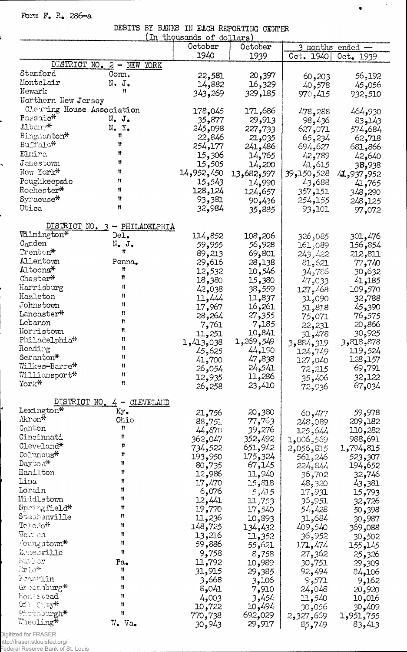Form  $F$ .  $R$ . 286-a

l

e

÷,

| DEBITS BY BANKS IN EACH REPORTING CENTER  |                               |                           |                  |                        |                    |
|-------------------------------------------|-------------------------------|---------------------------|------------------|------------------------|--------------------|
|                                           |                               | (In thousands of dollars) |                  |                        |                    |
|                                           |                               | October                   | October          |                        | 3 months ended -   |
|                                           |                               | 1940                      | 1939             | 0ct. 1940              | Oct. 1939          |
|                                           | DISTRICT NO. 2 - NEW<br>YORK  |                           |                  |                        |                    |
| Stamford                                  | Conn.                         | 22,581                    | 20,397           | 60,203                 | 56,192             |
| Montclair                                 | $N$ . J.                      | 14,882                    | 16,329           | 40,578                 | 45,056             |
| Newark                                    | Ħ                             | 343,269                   | 329,185          | 970,415                | 932,510            |
| Northern New Jersey                       |                               |                           |                  |                        |                    |
| Clearing House Association                |                               | 178,045                   | 171,686          | 478,288                | 464,930            |
| Passaic*                                  | $N_{\bullet}$ J.              | 35,877                    | 29,913           | 98,436                 | 83,143             |
| Alban <sup>, N</sup>                      | N.Y.                          | 245,098                   | 227,733          | 627,071                | 574,684            |
| Binghamton*                               | Ħ                             | 22,846                    | 21,035           | 65,234                 | 62,718             |
| Buffalo*                                  | 11                            | 254,177                   | 241,486          | 694,627                | 681,866            |
| Elmira                                    | Ħ                             | 15,306                    | 14,765           | 42,789                 | 42,640             |
| $J$ amestown                              | Ħ                             | 15,505                    | 14,200           | 41,615                 | 38,938             |
| New York*                                 | Ħ                             | 14,952,450                | 13,682,597       | 39,150,528             | 952, 937, 44       |
| Poughkeepsie                              | n                             | 15,543                    | 14,990           | 43,688                 | 41,765             |
| ${\tt Rochester*}$                        | 11                            | 128,124                   | 124,657          | 357,151                | 348,290            |
| Syracuse*                                 | Ħ                             | 93,381                    | 90,436           | 254,155                | 248,125            |
| Utica                                     | Ħ                             | 32,984                    | 885و35           | 93,101                 | 97,072             |
|                                           |                               |                           |                  |                        |                    |
|                                           | DISTRICT NO. 3 - PHILADELPHIA |                           |                  |                        |                    |
| Wilmington*                               | Del.                          | 114,852                   | 108,206          | 326,085                | 301,476            |
| $C_{a}$ nden                              | $N_{\bullet}$ J.<br>n         | 59,955                    | 56,928           | 161,089                | 854ء 156           |
| $\operatorname{Trenton}^{\boldsymbol{*}}$ |                               | 89,213                    | 69,801           | 243,422                | 212,811            |
| Allentown                                 | Penna.                        | 29,616                    | 28,138           | 81,621                 | 77,740             |
| Altoona*                                  | n<br>n                        | 12,532                    | 10,546           | 34,786                 | 30,632             |
| Chester*                                  |                               | 18,380                    | 15,380           | 47,033                 | 41,185             |
| Harrisburg                                | Ħ                             | 42,038                    | 559و38           | 127,468                | 109,570            |
| Hazleton                                  | 11                            | 11,444                    | 11,837           | 090و31                 | 32,788             |
| Johnstown                                 | 11                            | 17,967                    | 16,261           | 51,818                 | 45,390             |
| Lancaster*                                | n<br>Ħ                        | 28,264                    | 27,355           | 75,071                 | 76,575             |
| Lebanon                                   | n                             | 7,761                     | 7,185            | 22,231                 | 866و20             |
| Norristown                                |                               | 11,251                    | 10,841           | 31,478                 | 30,925             |
| Philadelphia*                             | Ħ                             | 1,413,038                 | 1,269,549        | 3,884,319              | 3,818,878          |
| Reading                                   | Ħ                             | 45,625                    | 44,190           | 124,749                | 119,524            |
| Seranton*                                 | n                             | 41,700                    | 47,838           | 127,040                | 128,157            |
| Wilkes-Barre*                             | Ħ                             | ,054ھ 26                  | 24,541           | 72,215                 | 69,791             |
| Williansport*                             | Ħ<br>n                        | 12,935                    | 11,286           | 35,406                 | 32,122             |
| York*                                     |                               | 26,258                    | 23,410           | 72,936                 | 67,034             |
| DISTRICT NO.                              | CLEVELAND<br>$4 -$            |                           |                  |                        |                    |
| Lexington*                                | Кy.                           |                           |                  |                        |                    |
| Akron*                                    | Ohio                          | 21,756                    | 20,380<br>77,763 | 60,477                 | 59,978             |
| Canton                                    | Ħ                             | 88,751<br>44,670          | 39,276           | 248,089                | 209,182<br>110,282 |
| Cincinnati                                | Ħ                             |                           | 352,492          | 125,644                | 988,691            |
| Cleveland*                                | 11                            | 362,047<br>734,522        | 651,942          | 569,006,1<br>2,056,815 |                    |
| Columbus*                                 | Ħ                             | 193,950                   | 175,324          | 561,246                | 815و794 <b>,</b> 1 |
| Day'to a <sup>*</sup>                     | 11                            | 80,735                    | 67,145           |                        | 523,307<br>194,652 |
| Hanilton                                  | Ħ                             | 12,986                    | 11,940           | 224,844<br>36,702      | 32,746             |
| Lima                                      | Ħ                             | 17,470                    | 31.8و15          | 48,320                 | 43,381             |
| Lorain                                    | π                             | 6,076                     | 5,415            | 17,931                 | 15,793             |
| Middletown                                | Ħ                             | 12,441                    | 11,753           | 36,951                 | 32,726             |
| Springfield*                              | Ħ                             | 19,770                    | 17,540           | 54,428                 | 50,398             |
| Steabenville                              | n                             | 11,236                    | 10,893           | 52,684                 | 30,987             |
| Toledo*                                   | Ħ                             | 148,725                   | 134,432          | 409٫540                | 369,088            |
| Warron                                    | 11                            | 13,216                    | 11,352           | 36,952                 |                    |
| $\gamma$ oung stown $*$                   | Ħ                             | 59,886                    | 21هُ, 55         | 171,474                | 30,502<br>155,145  |
| Zonesville                                | Ħ                             | 9,758                     | 8,758            | 27,362                 | 25,326             |
| Irati er                                  | Pa.                           | 11,792                    | 10,989           | 30,751                 | 29,309             |
| 7rio*                                     | n                             | 31,915                    | 29,385           | 92,494                 | 84,106             |
| Franklin                                  | Ħ                             | 3,668                     | 3,106            | 9,571                  | 9,162              |
| Greensburg*                               | n                             | 8,041                     | 7,910            | 24,048                 | 20,920             |
| Homestoond                                | Ħ                             | 4,003                     | 3,454            | 11,540                 | 10,016             |
| Of I Ch. ty <sup>46</sup>                 | Ħ                             | 10,722                    | 10,494           | 30,056                 | 30,409             |
| Pirthburgh*                               | 11                            | 770,738                   | 692,029          | 2,327,669              | 1,951,755          |
| Wheeling*                                 | W. Va.                        | 30,943                    | 29,917           | 85,749                 | 83,413             |
|                                           |                               |                           |                  |                        |                    |

 $\gamma$  ,  $\gamma_{\rm ex}$ 

 $\bullet$ 

Digitized for FRASER<br>http://fraser.stlouisfed.org/<br>Federal Reserve Bank of St. Louis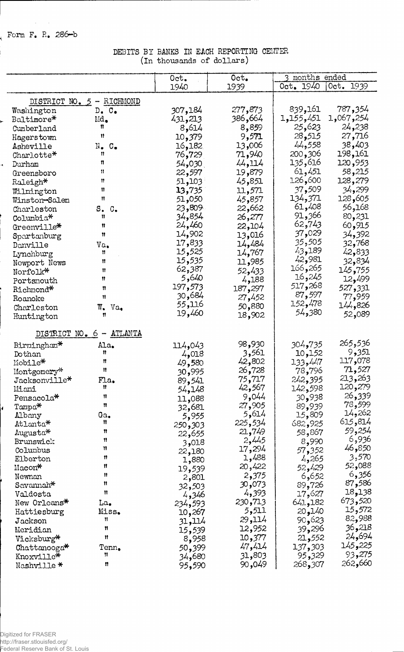**( Form F. R. 286-b**

 $\sim$ 

i.

## **DEBITS BY BANKS IN EACH REPORTING CENTER (in thousands of dollars)**

|                                                    |                   | Oct.<br>Oct.    |                   | months ended      |  |
|----------------------------------------------------|-------------------|-----------------|-------------------|-------------------|--|
|                                                    | 1940              | 1939            | Oct. 1940         | 0ct. 1939         |  |
| DISTRICT NO. 5 - RICHMOND                          |                   |                 |                   |                   |  |
| $D_{\bullet}$ $C_{\bullet}$<br>Washington          | 307,184           | 277,873         | 839,161           | 787,354           |  |
| Baltimore*<br>Md.                                  | 431,213           | 386,664         | 1,155,451         | 1,067,254         |  |
| n<br>Cumberland                                    | 8,614             | 8,859           | 25,623            | 24,238            |  |
| 11<br>Hagerstown                                   | 10,379            | 9,571           | 28,515            | 27,716            |  |
| $\mathbb{N}_\bullet$<br>Asheville<br>$C_{\bullet}$ | 16 <b>,</b> 182   | 13,006          | 44,558            | 38,403            |  |
| 11<br>Charlotte*                                   | 76,729            | 71,940          | 200,306           | 198,161           |  |
| η<br>Durham<br>ä,                                  | 54,030            | 44,114          | 135,616           | 120,953           |  |
| n<br>Greensboro                                    | 22,597            | 19,879          | 61,451            | 58,215            |  |
| n<br>Raleigh*                                      | 51,103            | 45,851          | 126,600           | 128,279           |  |
| n<br>Wilmington                                    | 13,735            | 11,571          | 37,509            | 34,299            |  |
| Ħ<br>Winston-Salem                                 | 51,050            | 45,857          | 134,371           | 128,605           |  |
| s.<br>$\mathbb{C}_{\bullet}$<br>Charleston         | 23,809            | 22,662          | 61,408            | 56,168            |  |
| n<br>Columbia <sup>*</sup>                         | 34,854            | 26,277          | 91,366            | 80,231            |  |
| n<br>Greenville*                                   | 24,460            | 22,104          | 62,743            | 60,915            |  |
| 11<br>Spartanburg                                  | 14,902            | 13,016          | 029, 37           | 34,392            |  |
| Va.<br>Danville                                    | 17,833            | 14,484          | 35,505            | 32,768            |  |
| Ħ<br>Lynchburg                                     | 15,525            | 14,767          | 43,189            | 42,833            |  |
| Ħ<br>Newport News                                  | 15,535            | 11,985          | 42,981            | 32,834            |  |
| Ħ<br>Norfolk*                                      | 62,387            | 52,433          | 265, 166          | 145,755           |  |
| 11<br>Portsmouth                                   | 5,640             | 4,188           | 16,245            | 12,499            |  |
| 11<br>Richmond*                                    | 197,573           | 187,297         | 517,268<br>87,597 | 527,331           |  |
| 11<br>Roanoke                                      | ,684 30<br>55,116 | 27,452          | 152,478           | 77,959            |  |
| W.<br>Charleston<br>$Va_{\bullet}$                 | 19,460            | 50,880          | 54,380            | 826و441           |  |
| 11<br>Huntington                                   |                   | 18,902          |                   | 52,089            |  |
| $NO - 6 - ATLANTA$<br>DISTRICT                     |                   |                 |                   |                   |  |
| Ala.<br>Birmingham*                                | 114,043           | 98,930          | 304 <b>,</b> 735  | 265 <b>,</b> 536  |  |
| 11<br>Dothan                                       | 4,018             | 3,561           | 10,152            | 9,351             |  |
| Ħ<br>Mobile*                                       | 49,580            | 42,802          | 133,447           | 117,078           |  |
| 11<br>Montgomery*                                  | 995و30            | 26,728          | 78,796            | 71,527            |  |
| Fla.<br>Jacksonville*                              | 89,541            | 75,717          | 242,395           | 213,263           |  |
| Ħ<br>Miani                                         | 54,148            | 42,567          | 142,598           | 120,279           |  |
| Ħ<br>Pensacola <sup>*</sup>                        | 11,088            | 9,044           | 30,938            | 26,339            |  |
| $\mathbf{u}$<br>Tampa*                             | 32,681            | 27,905          | 89,939            | 78,599            |  |
| Ga.<br>Albany<br>Ħ                                 | 5,955             | 5,614           | 15,809            | 14,262<br>615,814 |  |
| Atlanta*<br>Ħ                                      | 250,303           | 225,534         | 682,925           | 59,254            |  |
| Augusta*<br>Ħ                                      | 22,655            | 21,749<br>2,445 | 58,867            | 6,936             |  |
| Brunswick<br>11<br>Columbus                        | 3,018             | 17,294          | 8,990             | 46,850            |  |
| 11<br>Elberton                                     | 22,180            | 1,488           | 57,352<br>4,265   | 3,570             |  |
| 11<br>Macon*                                       | 1,880<br>19,539   | 20,422          | 52,429            | 52,088            |  |
| Ħ<br>Newnan                                        | 2,801             | 2,375           | 6,652             | 6,356             |  |
| Ħ<br>Savannah*                                     | 32,503            | 30,073          | 89,726            | 87,586            |  |
| Ħ<br>Valdosta                                      | 4,346             | 4,393           | 17,627            | 18,138            |  |
| New Orleans*<br>La.                                | 234,593           | 230,713         | 641,182           | 673,520           |  |
| Miss.<br>Hattiesburg                               | 10,267            | 5,511           | 20,140            | 15,572            |  |
| Ħ<br>Jackson                                       | 114, 31           | 29,114          | 90,623            | 82,988            |  |
| Ħ<br>Meridian                                      | 15,539            | 12,952          | 39,296            | 36,218            |  |
| Ħ<br>Vicksburg*                                    | 8,958             | 10,377          | 21,552            | 24,694            |  |
| Tenn.<br>$Chattanooga*$                            | 50,399            | 47,414          | 137,303           | 225و145           |  |
| 11<br>Knoxville*                                   | 34,680            | 31,803          | 95,329            | 93,275            |  |
| 11<br>Nashville *                                  | 95,590            | 90,049          | 268,307           | 262,660           |  |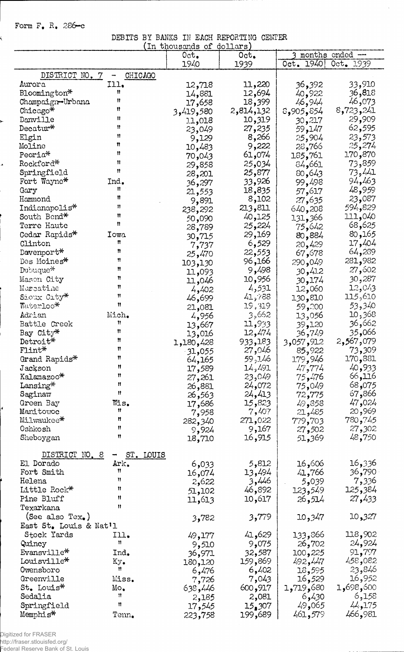## Form  $F_{\bullet}$  R. 286-c

ý

r

÷

DEBITS BY BANKS IN EACH REPORTING CENTER

|                        |                | In thousands of | dollars   |                  |                 |
|------------------------|----------------|-----------------|-----------|------------------|-----------------|
|                        |                | 0ct.            | 0ct.      | months           | ended --        |
|                        |                | 1940            | 1939      | Oct. 1940        | Oct. 1939       |
| DISTRICT NO. 7         | CHICAGO<br>-   |                 |           |                  |                 |
| Aurora                 | Ill.           | 12,718          | 11,220    | 36,392           | 33,910          |
| Bloomington*           | 11             | 14,881          | 12,694    | 40,922           | 36,818          |
| Champaign-Urbana       | 11             |                 | 18,399    | 46,944           | 46,073          |
| Chicago*               | Ħ              | 17,658          | 2,814,132 |                  | 8,723,241       |
|                        | 11             | 3,419,580       |           | 8,905,854        |                 |
| Danville               | 11             | 11,018          | 10,319    | 30,217           | 29,909          |
| Decatur*               | Ħ              | 23,049          | 27,235    | 59,147           | 62,595          |
| Elgin                  | Ħ              | 9,129           | 8,266     | 25,904           | 23,573          |
| Moline                 |                | 10,483          | 9,222     | 28,766           | 25,274          |
| Peoria*                | Ħ              | 70,043          | 61,074    | 185,761          | 170,870         |
| Rockford*              | Ħ              | 29,858          | 25,034    | 84,661           | 73,859          |
| Springfield            | Ħ              | 28,201          | 25,877    | 80,643           | 73,441          |
| Fort Wayne*            | Ind.           | 36,297          | 33,926    | 99,498           | 94,463          |
| Gary                   | n              | 21,553          | 18,835    | 57,617           | 48,959          |
| Hammond                | Ħ              | 9,891           | 8,102     | 27,635           | 23,087          |
| Indianapolis*          | 11             | 238,292         | 213,811   | 640,208          | 594,829         |
| South Bend*            | Ħ              | 50,090          | 40,125    | 131,366          | 111,040         |
| Terre Haute            | n              | 28,789          | 25,224    | 75,642           | 68,625          |
| Cedar Rapids*          | Iowa           |                 | 29,169    | 80,884           | 80,165          |
| Clinton                | n              | 30,715          | 6,529     |                  | 17,404          |
| Davenport*             | Ħ              | 7,737           | 22,553    | 20,429           | 64,289          |
|                        | n              | 25,470          |           | 67,678           |                 |
| Des Moines*            | Ħ              | 103,130         | 96,166    | 290,049          | 281,982         |
| Dubuque*               |                | 11,093          | 9,498     | 30,412           | 27,602          |
| Mason City             | π              | 11,046          | 10,956    | 30,174           | 30,287          |
| Muscatine              | Ħ              | 4,402           | 4,531     | 12,060           | 12,043          |
| Sioux City*            | Ħ              | 46,699          | 41,788    | 130,810          | 115,610         |
| Waterloo*              | Ħ              | 21,081          | 19,319    | 59,200           | 53,340          |
| Adrian                 | Mich.          | 4,956           | 3,662     | 13,056           | 10,368          |
| Battle Creek           | Ħ              | 13,667          | 11,933    | 39,120           | 36,662          |
| Bay City*              | Ħ              | 13,016          | 12,474    | 36,749           | 066و35          |
| Detroit*               | Ħ              | 1,180,428       | 933,183   | 3,057,912        | 2,567,079       |
| $F\text{lint*}$        | Ħ              | $-31,055$       | 27,046    | 85,922           | 73,309          |
| Grand Rapids*          | Ħ              | 64,165          | 59,146    | 179,946          | 170,881         |
| Jackson                | Ħ              | 17,589          | 14,491    | 47,774           | 40,933          |
| Kalamazoo*             | Ħ              | 27,261          | 23,049    | 75,476           | 66,116          |
| Lansing*               | n              | 26,881          | 24,072    | 75,049           | 68,075          |
| Saginaw                | Ħ              |                 | 24,413    |                  | 67,866          |
| Green Bay              | Wis.           | 26,563          | 15,823    | 72,775<br>49,858 | 47,024          |
| Manitowoc              | Ħ              | 17,686          | 7,407     |                  | 20,969          |
| Milwaukee*             | Ħ              | 7,958           |           | 21,485           | 780,745         |
|                        | Ħ              | 282,340         | 271,022   | 779,703          |                 |
| Oshkosh                | Ħ              | 9,924           | 9,167     | 27,502           | 27,302          |
| Sheboygan              |                | 18,710          | 16,915    | 51,369           | 48,750          |
| DISTRICT NO. 8         | ST. LOUIS<br>⊸ |                 |           |                  |                 |
| El Dorado              | Ark.           |                 | 5,812     | 16,606           | 16,336          |
| Fort Smith             | Ħ              | 6,033           |           |                  |                 |
|                        | Ħ              | 16,074          | 13,494    | 41,766           | 36 <b>,</b> 790 |
| Helena                 | n              | 2,622           | 3,446     | 5,039            | 7,336           |
| Little Rock*           |                | 51,102          | 46,892    | 123,549          | 125,384         |
| Pine Bluff             | Ħ              | 11,613          | 10,617    | 26,514           | 27,433          |
| Texarkana              | n              |                 |           |                  |                 |
| (See also Tex.)        |                | 3,782           | 3,779     | 10,347           | 10,327          |
| East St. Louis & Nat'l |                |                 |           |                  |                 |
| Stock Yards            | Ill.           | 49,177          | 41,629    | 133,866          | 118,902         |
| Quincy                 | n              | 9,510           | 9,075     | 26,702           | 24,924          |
| Evansville*            | Ind.           | 36,971          | 32,587    | 100,225          | 91,797          |
| Louisville*            | Кy.            | 180,120         | 159,869   | 492,447          | 458,082         |
| Owensboro              | Ħ              | 6,476           | 6,402     | 18,595           | 23,846          |
| Greenville             | Miss.          | 7,726           | 7,043     | 16,529           | 16,952          |
| St. Louis <sup>*</sup> | Mo,            | 638,446         | 600,917   | 680و719,5        | 600, 698, 1     |
| Sedalia                | 11             | 2,185           | 2,081     | 6,430            | 6,158           |
| Springfield            | Ħ              | 17,545          | 15,307    | 49,065           | 44,175          |
| Memphis*               | Tenn.          | 223,758         | 199,689   | 461,579          | 466,981         |
|                        |                |                 |           |                  |                 |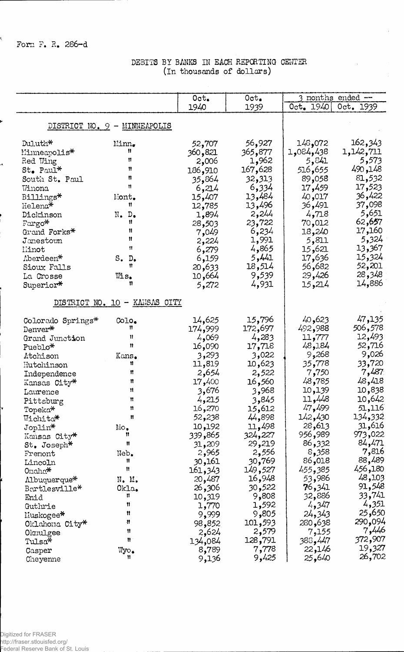$\mathbf{A}$ 

J

## DEBITS BY BANKS IN EACH REPORTING CENTER (In thousands of dollars)

|                   |                               | Oct.     | Oct.    |                  | 3 nonths ended $-$ |
|-------------------|-------------------------------|----------|---------|------------------|--------------------|
|                   |                               | 1940     | 1939    | 0ct. 1940        | Oct. 1939          |
|                   |                               |          |         |                  |                    |
|                   | DISTRICT NO. 9 - MINNEAPOLIS  |          |         |                  |                    |
| Duluth*           | Minn.                         | 52,707   | 56,927  | 072و145          | 162,343            |
| Minneapolis*      | 11.                           | 360,821  | 365,877 | 1,084,438        | 1,142,711          |
| Red Wing          | 11                            | 2,006    | 1,962   | 5,841            | 5,573              |
| St. Paul*         | 11                            | 186,910  | 167,628 | 516,655          | 490,148            |
| South St. Paul    | n                             | 35,864   | 32,313  | 89,058           | 81,532             |
| Winona            | Ħ                             | 6,214    | 6,334   | 17,459           | 17,523             |
| Billings*         | Mont.                         | 15,407   | 13,484  | 40,017           | 36,422             |
| Helena*           | Ħ                             | 12,785   | 13,496  | 36,491           | 37,098             |
| Dickinson         | N. D.                         | 1,894    | 2,244   | 4,718            | 5,651              |
| Fargo*            | Ħ                             | 28,503   | 23,722  | 70,012           | 62,657             |
| Grand Forks*      | Ħ                             | 7,049    | 6,234   | 18,240           | 17,160             |
| Janestown         | Ħ                             | 2,224    | 1,991   | 5,811            | 5,324              |
| Liinot            | $^{\bullet}$                  | 6,279    | 4,865   | 15,621           | 13,367             |
| Aberdeen*         | S. D.                         | 6,159    | 5,441   | 17,636           | 15,324             |
| Sioux Falls       | Ħ                             | 20,633   | 18,514  | 56,682           | 52,201             |
| La Crosse         | Wis.                          | 10,664   | 9,539   | 29,426           | 28,348             |
| Superior*         | 11                            | 5,272    | 4,931   | 15,214           | 14,886             |
|                   |                               |          |         |                  |                    |
|                   | DISTRICT NO. 10 - KANSAS CITY |          |         |                  |                    |
| Colorado Springs* | Colo.                         | 14,625   | 15,796  | 40,623           | 47,135             |
| Denver*           | Ħ                             | 174,999  | 172,697 | 492,988          | 506,578            |
| Grand Junction    | 11                            | 4,069    | 4,283   | 11,777           | 12,493             |
| Pueblo*           | $\mathbf{H}$                  | 16,090   | 17,718  | 48,184           | 52,716             |
| Atchison          | Kans.                         | 3,293    | 3,022   | 268و9            | 9,026              |
| Hutchinson        | 11                            | 11,819   | 10,623  | 35,778           | 33,720             |
| Independence      | n                             | 2,654    | 2,522   | 7,750            | 7,487              |
| Kansas City*      | Ħ                             | 17,400   | 16,560  | 48,785           | 48,418             |
| Lavrence          | Ħ                             | 3,676    | 3,968   | 10,139           | 10,838             |
| Pittsburg         | Ħ                             | 4,215    | 3,845   | 11,448           | 10,642             |
| Topeka*           | Ħ                             | 16,270   | 15,612  | 47,499           | 51,116             |
| Wichita*          | Ħ                             | 52,238   | 44,898  | 142,430          | 134,332            |
| Joplin*           | Mo.                           | 10,192   | 11,498  | 28,613           | 31,616             |
| Kansas City*      | 11                            | 865, 339 | 324,227 | 956,989          | 973,022            |
| St. Joseph*       | Ħ                             | 31,209   | 29,219  | 86,332           | 84,471             |
| Frenont           | Neb.                          | 2,965    | 2,556   | 8,358            | 7,816              |
| Lincoln           | Ħ                             | 30,161   | 30,769  | 86,018           | 88,489             |
| Onaha*            | Ħ                             | 161,343  | 149,527 | 455,385          | 456,180            |
| Albuquerque*      | N. M.                         | 20,487   | 16,948  | 53,986           | 48,103             |
| Bartlesville*     | Okla.                         | 306و 26  | 30,522  | 76,341           | 91,548             |
| Enid              | n                             | 10,319   | 9,808   | 32,886           | 33,741             |
| Guthrie           | Ħ                             | 1,770    | 1,592   | 4,347            | 4,351              |
| Muskogee*         | n                             | 9,999    | 9,805   | 24,343           | 25,650             |
| Oklahona City*    | n                             | 98,852   | 101,593 | 280,638          | 290,094            |
| Olanulgee         | 11                            | 2,624    | 2,579   | 7,155            | 7,446              |
| Tulsa*            | n                             | 134,084  | 128,791 | 383 <b>,</b> 447 | 372,907            |
| Casper            | $\mathbb{W}$ yo.              | 8,789    | 7,778   | 22,146           | 19,327             |
| Cheyenne          | Ħ                             | 9,136    | 9,425   | 25,640           | 26,702             |